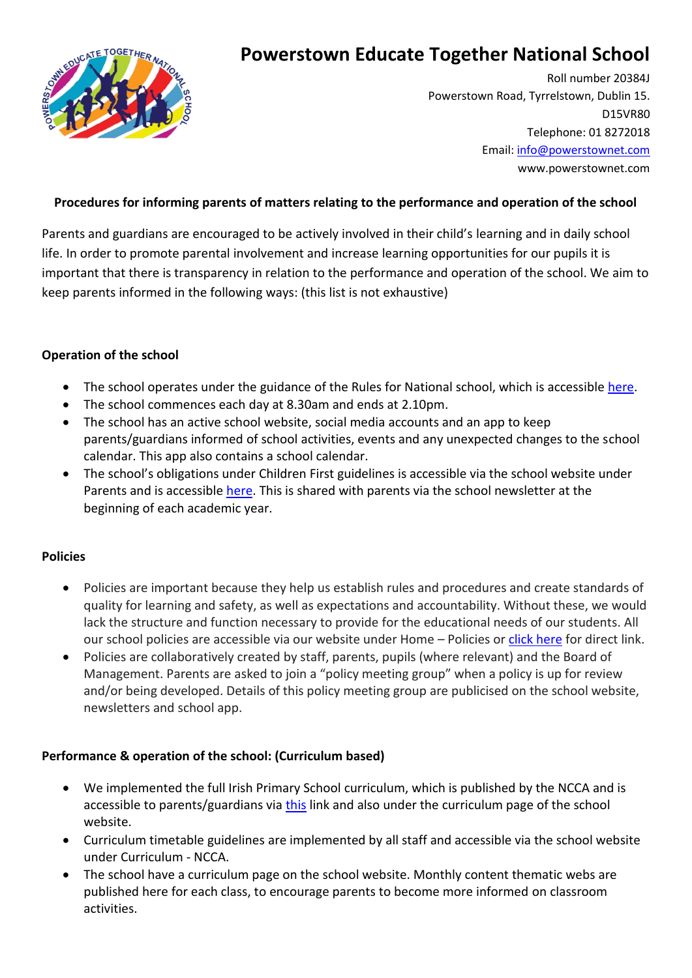

# **Powerstown Educate Together National School**

 Roll number 20384J Powerstown Road, Tyrrelstown, Dublin 15. D15VR80 Telephone: 01 8272018 Email[: info@powerstownet.com](mailto:info@powerstownet.com) www.powerstownet.com

## **Procedures for informing parents of matters relating to the performance and operation of the school**

Parents and guardians are encouraged to be actively involved in their child's learning and in daily school life. In order to promote parental involvement and increase learning opportunities for our pupils it is important that there is transparency in relation to the performance and operation of the school. We aim to keep parents informed in the following ways: (this list is not exhaustive)

### **Operation of the school**

- The school operates under the guidance of the Rules for National school, which is accessible [here.](https://www.into.ie/ROI/InfoforTeachers/Circulars/RulesforNationalSchools1965/)
- The school commences each day at 8.30am and ends at 2.10pm.
- The school has an active school website, social media accounts and an app to keep parents/guardians informed of school activities, events and any unexpected changes to the school calendar. This app also contains a school calendar.
- The school's obligations under Children First guidelines is accessible via the school website under Parents and is accessible [here.](https://www.powerstownet.com/child-protection-tusla/) This is shared with parents via the school newsletter at the beginning of each academic year.

## **Policies**

- Policies are important because they help us establish rules and procedures and create standards of quality for learning and safety, as well as expectations and accountability. Without these, we would lack the structure and function necessary to provide for the educational needs of our students. All our school policies are accessible via our website under Home – Policies o[r click here](https://www.powerstownet.com/petnspolicies/) for direct link.
- Policies are collaboratively created by staff, parents, pupils (where relevant) and the Board of Management. Parents are asked to join a "policy meeting group" when a policy is up for review and/or being developed. Details of this policy meeting group are publicised on the school website, newsletters and school app.

## **Performance & operation of the school: (Curriculum based)**

- We implemented the full Irish Primary School curriculum, which is published by the NCCA and is accessible to parents/guardians vi[a this](https://www.curriculumonline.ie/Primary) link and also under the curriculum page of the school website.
- Curriculum timetable guidelines are implemented by all staff and accessible via the school website under Curriculum - NCCA.
- The school have a curriculum page on the school website. Monthly content thematic webs are published here for each class, to encourage parents to become more informed on classroom activities.